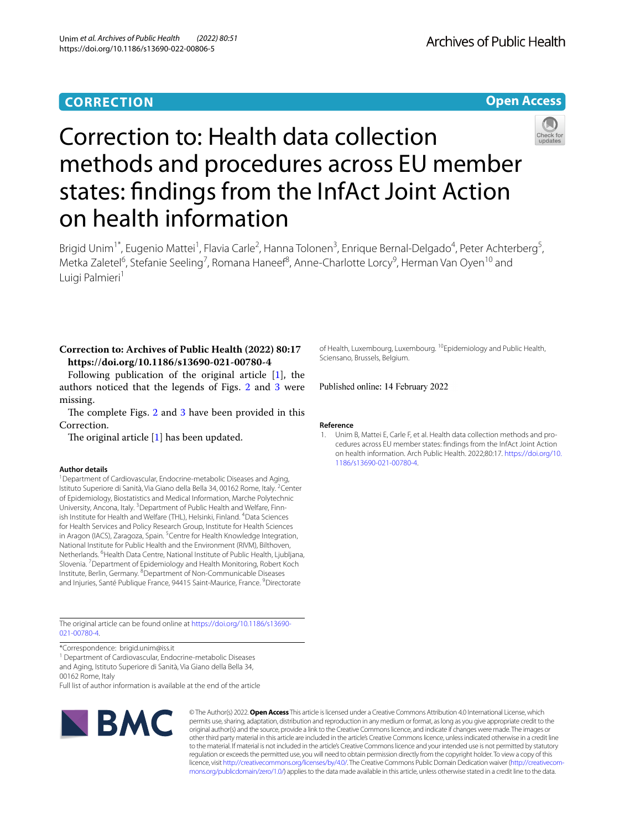## **CORRECTION**





Brigid Unim<sup>1\*</sup>, Eugenio Mattei<sup>1</sup>, Flavia Carle<sup>2</sup>, Hanna Tolonen<sup>3</sup>, Enrique Bernal-Delgado<sup>4</sup>, Peter Achterberg<sup>5</sup>, Metka Zaletel<sup>6</sup>, Stefanie Seeling<sup>7</sup>, Romana Haneef<sup>8</sup>, Anne-Charlotte Lorcy<sup>9</sup>, Herman Van Oyen<sup>10</sup> and Luigi Palmieri<sup>1</sup>

## **Correction to: Archives of Public Health (2022) 80:17 https://doi.org/10.1186/s13690-021-00780-4**

Following publication of the original article [\[1](#page-0-0)], the authors noticed that the legends of Figs. [2](#page-1-0) and [3](#page-1-1) were missing.

The complete Figs.  $2$  and  $3$  have been provided in this Correction.

The original article  $[1]$  $[1]$  has been updated.

## **Author details**

<sup>1</sup> Department of Cardiovascular, Endocrine-metabolic Diseases and Aging, Istituto Superiore di Sanità, Via Giano della Bella 34, 00162 Rome, Italy. <sup>2</sup>Center of Epidemiology, Biostatistics and Medical Information, Marche Polytechnic University, Ancona, Italy. <sup>3</sup> Department of Public Health and Welfare, Finnish Institute for Health and Welfare (THL), Helsinki, Finland. <sup>4</sup>Data Sciences for Health Services and Policy Research Group, Institute for Health Sciences in Aragon (IACS), Zaragoza, Spain.<sup>5</sup> Centre for Health Knowledge Integration, National Institute for Public Health and the Environment (RIVM), Bilthoven, Netherlands. <sup>6</sup> Health Data Centre, National Institute of Public Health, Ljubljana, Slovenia. <sup>7</sup> Department of Epidemiology and Health Monitoring, Robert Koch Institute, Berlin, Germany. <sup>8</sup>Department of Non-Communicable Diseases and Injuries, Santé Publique France, 94415 Saint-Maurice, France. <sup>9</sup> Directorate

The original article can be found online at [https://doi.org/10.1186/s13690-](https://doi.org/10.1186/s13690-021-00780-4) [021-00780-4](https://doi.org/10.1186/s13690-021-00780-4).

\*Correspondence: brigid.unim@iss.it

<sup>1</sup> Department of Cardiovascular, Endocrine-metabolic Diseases and Aging, Istituto Superiore di Sanità, Via Giano della Bella 34, 00162 Rome, Italy

Full list of author information is available at the end of the article



© The Author(s) 2022. **Open Access** This article is licensed under a Creative Commons Attribution 4.0 International License, which permits use, sharing, adaptation, distribution and reproduction in any medium or format, as long as you give appropriate credit to the original author(s) and the source, provide a link to the Creative Commons licence, and indicate if changes were made. The images or other third party material in this article are included in the article's Creative Commons licence, unless indicated otherwise in a credit line to the material. If material is not included in the article's Creative Commons licence and your intended use is not permitted by statutory regulation or exceeds the permitted use, you will need to obtain permission directly from the copyright holder. To view a copy of this licence, visit [http://creativecommons.org/licenses/by/4.0/.](http://creativecommons.org/licenses/by/4.0/) The Creative Commons Public Domain Dedication waiver (http://creativecom· [mons.org/publicdomain/zero/1.0/\)](http://creativecommons.org/publicdomain/zero/1.0/) applies to the data made available in this article, unless otherwise stated in a credit line to the data.

of Health, Luxembourg, Luxembourg. <sup>10</sup>Epidemiology and Public Health, Sciensano, Brussels, Belgium.

Published online: 14 February 2022

## **Reference**

<span id="page-0-0"></span>1. Unim B, Mattei E, Carle F, et al. Health data collection methods and procedures across EU member states: fndings from the InfAct Joint Action on health information. Arch Public Health. 2022;80:17. [https://doi.org/10.](https://doi.org/10.1186/s13690-021-00780-4) [1186/s13690-021-00780-4.](https://doi.org/10.1186/s13690-021-00780-4)